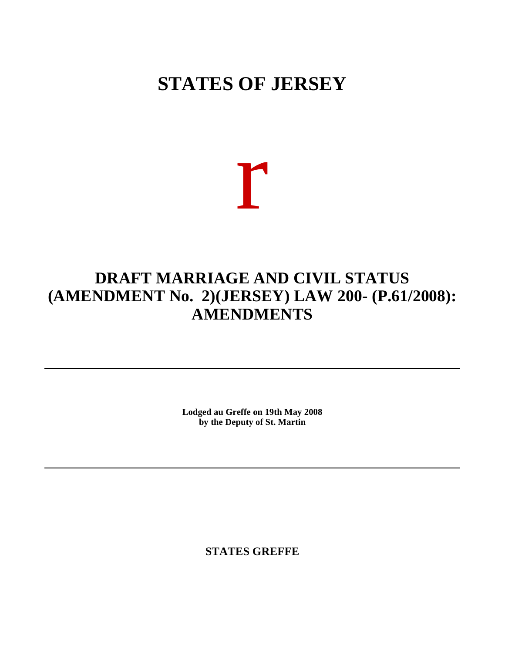## **STATES OF JERSEY**

# r

### **DRAFT MARRIAGE AND CIVIL STATUS (AMENDMENT No. 2) (JERSEY) LAW 200- (P.61/2008): AMENDMENTS**

**Lodged au Greffe on 19th May 2008 by the Deputy of St. Martin**

**STATES GREFFE**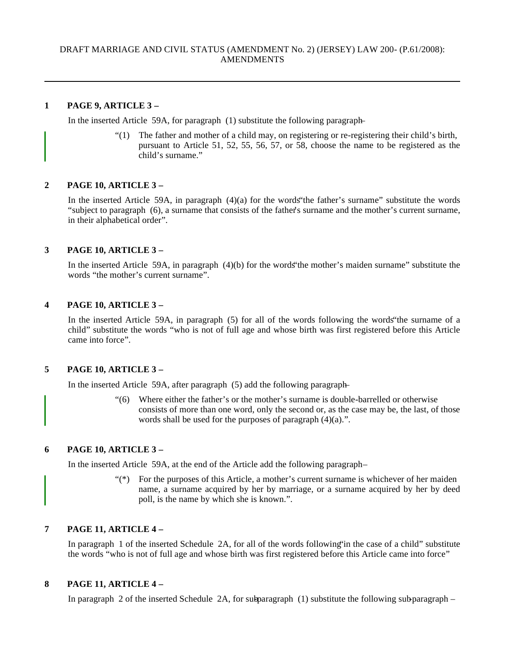#### **1 PAGE 9, ARTICLE 3 –**

In the inserted Article 59A, for paragraph (1) substitute the following paragraph-

"(1) The father and mother of a child may, on registering or re-registering their child's birth, pursuant to Article 51, 52, 55, 56, 57, or 58, choose the name to be registered as the child's surname."

#### **2 PAGE 10, ARTICLE 3 –**

In the inserted Article 59A, in paragraph (4)(a) for the words"the father's surname" substitute the words "subject to paragraph (6), a surname that consists of the father's surname and the mother's current surname, in their alphabetical order".

#### **3 PAGE 10, ARTICLE 3 –**

In the inserted Article 59A, in paragraph (4)(b) for the words"the mother's maiden surname" substitute the words "the mother's current surname".

#### **4 PAGE 10, ARTICLE 3 –**

In the inserted Article 59A, in paragraph (5) for all of the words following the words"the surname of a child" substitute the words "who is not of full age and whose birth was first registered before this Article came into force".

#### **5 PAGE 10, ARTICLE 3 –**

In the inserted Article 59A, after paragraph (5) add the following paragraph-

"(6) Where either the father's or the mother's surname is double-barrelled or otherwise consists of more than one word, only the second or, as the case may be, the last, of those words shall be used for the purposes of paragraph  $(4)(a)$ .".

#### **6 PAGE 10, ARTICLE 3 –**

In the inserted Article 59A, at the end of the Article add the following paragraph-

"(\*) For the purposes of this Article, a mother's current surname is whichever of her maiden name, a surname acquired by her by marriage, or a surname acquired by her by deed poll, is the name by which she is known.".

#### **7 PAGE 11, ARTICLE 4 –**

In paragraph 1 of the inserted Schedule 2A, for all of the words following"in the case of a child" substitute the words "who is not of full age and whose birth was first registered before this Article came into force"

#### **8 PAGE 11, ARTICLE 4 –**

In paragraph 2 of the inserted Schedule 2A, for subparagraph  $(1)$  substitute the following sub-paragraph –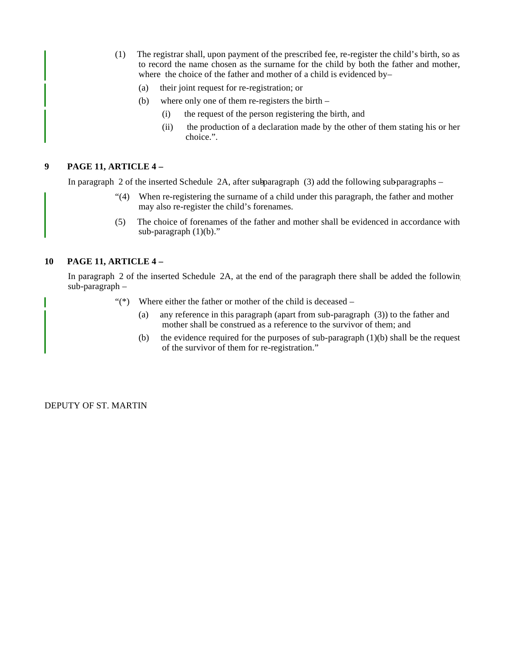- (1) The registrar shall, upon payment of the prescribed fee, re-register the child's birth, so as to record the name chosen as the surname for the child by both the father and mother, where the choice of the father and mother of a child is evidenced by-
	- (a) their joint request for re-registration; or
	- (b) where only one of them re-registers the birth
		- (i) the request of the person registering the birth, and
		- (ii) the production of a declaration made by the other of them stating his or her choice.".

#### **9 PAGE 11, ARTICLE 4 –**

In paragraph 2 of the inserted Schedule  $2A$ , after subparagraph (3) add the following sub-paragraphs –

- "(4) When re-registering the surname of a child under this paragraph, the father and mother may also re-register the child's forenames.
- (5) The choice of forenames of the father and mother shall be evidenced in accordance with sub-paragraph  $(1)(b)$ ."

#### **10 PAGE 11, ARTICLE 4 –**

In paragraph 2 of the inserted Schedule 2A, at the end of the paragraph there shall be added the following sub-paragraph –

- " $(*)$  Where either the father or mother of the child is deceased
	- (a) any reference in this paragraph (apart from sub-paragraph (3)) to the father and mother shall be construed as a reference to the survivor of them; and
	- (b) the evidence required for the purposes of sub-paragraph  $(1)(b)$  shall be the request of the survivor of them for re-registration."

DEPUTY OF ST. MARTIN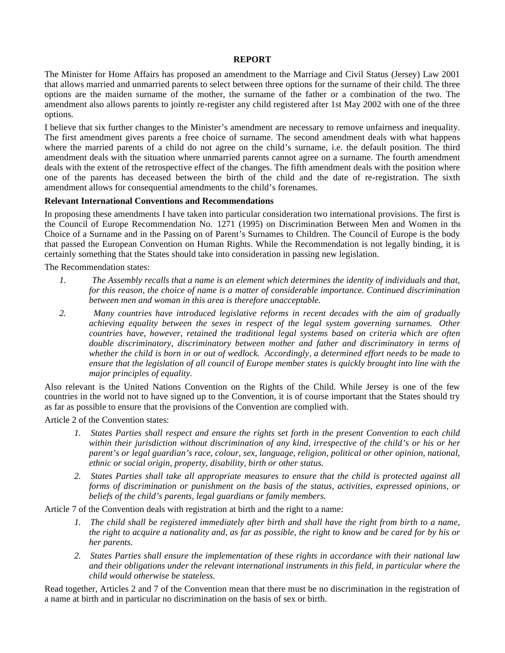#### **REPORT**

The Minister for Home Affairs has proposed an amendment to the Marriage and Civil Status (Jersey) Law 2001 that allows married and unmarried parents to select between three options for the surname of their child. The three options are the maiden surname of the mother, the surname of the father or a combination of the two. The amendment also allows parents to jointly re-register any child registered after 1st May 2002 with one of the three options.

I believe that six further changes to the Minister's amendment are necessary to remove unfairness and inequality. The first amendment gives parents a free choice of surname. The second amendment deals with what happens where the married parents of a child do not agree on the child's surname, i.e. the default position. The third amendment deals with the situation where unmarried parents cannot agree on a surname. The fourth amendment deals with the extent of the retrospective effect of the changes. The fifth amendment deals with the position where one of the parents has deceased between the birth of the child and the date of re-registration. The sixth amendment allows for consequential amendments to the child's forenames.

#### **Relevant International Conventions and Recommendations**

In proposing these amendments I have taken into particular consideration two international provisions. The first is the Council of Europe Recommendation No. 1271 (1995) on Discrimination Between Men and Women in the Choice of a Surname and in the Passing on of Parent's Surnames to Children. The Council of Europe is the body that passed the European Convention on Human Rights. While the Recommendation is not legally binding, it is certainly something that the States should take into consideration in passing new legislation.

The Recommendation states:

- *1. The Assembly recalls that a name is an element which determines the identity of individuals and that, for this reason, the choice of name is a matter of considerable importance. Continued discrimination between men and woman in this area is therefore unacceptable.*
- *2. Many countries have introduced legislative reforms in recent decades with the aim of gradually achieving equality between the sexes in respect of the legal system governing surnames. Other countries have, however, retained the traditional legal systems based on criteria which are often double discriminatory, discriminatory between mother and father and discriminatory in terms of whether the child is born in or out of wedlock. Accordingly, a determined effort needs to be made to ensure that the legislation of all council of Europe member states is quickly brought into line with the major principles of equality.*

Also relevant is the United Nations Convention on the Rights of the Child. While Jersey is one of the few countries in the world not to have signed up to the Convention, it is of course important that the States should try as far as possible to ensure that the provisions of the Convention are complied with.

Article 2 of the Convention states:

- *1. States Parties shall respect and ensure the rights set forth in the present Convention to each child within their jurisdiction without discrimination of any kind, irrespective of the child's or his or her parent's or legal guardian's race, colour, sex, language, religion, political or other opinion, national, ethnic or social origin, property, disability, birth or other status.*
- *2. States Parties shall take all appropriate measures to ensure that the child is protected against all forms of discrimination or punishment on the basis of the status, activities, expressed opinions, or beliefs of the child's parents, legal guardians or family members.*

Article 7 of the Convention deals with registration at birth and the right to a name:

- *1. The child shall be registered immediately after birth and shall have the right from birth to a name, the right to acquire a nationality and, as far as possible, the right to know and be cared for by his or her parents.*
- *2. States Parties shall ensure the implementation of these rights in accordance with their national law and their obligations under the relevant international instruments in this field, in particular where the child would otherwise be stateless.*

Read together, Articles 2 and 7 of the Convention mean that there must be no discrimination in the registration of a name at birth and in particular no discrimination on the basis of sex or birth.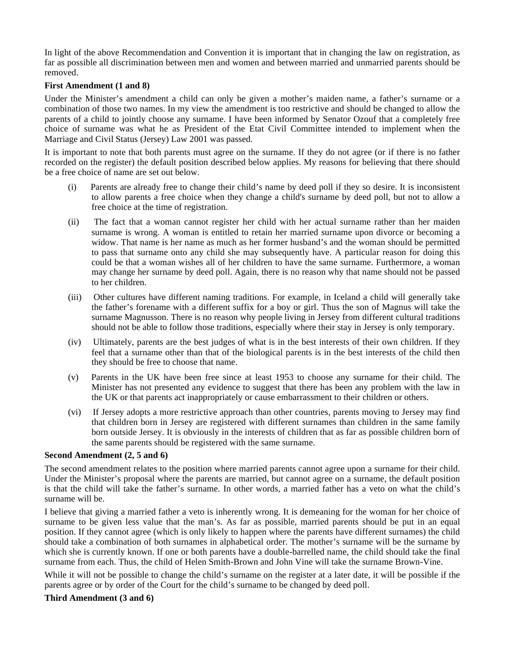In light of the above Recommendation and Convention it is important that in changing the law on registration, as far as possible all discrimination between men and women and between married and unmarried parents should be removed.

#### **First Amendment (1 and 8)**

Under the Minister's amendment a child can only be given a mother's maiden name, a father's surname or a combination of those two names. In my view the amendment is too restrictive and should be changed to allow the parents of a child to jointly choose any surname. I have been informed by Senator Ozouf that a completely free choice of surname was what he as President of the Etat Civil Committee intended to implement when the Marriage and Civil Status (Jersey) Law 2001 was passed.

It is important to note that both parents must agree on the surname. If they do not agree (or if there is no father recorded on the register) the default position described below applies. My reasons for believing that there should be a free choice of name are set out below.

- (i) Parents are already free to change their child's name by deed poll if they so desire. It is inconsistent to allow parents a free choice when they change a child's surname by deed poll, but not to allow a free choice at the time of registration.
- (ii) The fact that a woman cannot register her child with her actual surname rather than her maiden surname is wrong. A woman is entitled to retain her married surname upon divorce or becoming a widow. That name is her name as much as her former husband's and the woman should be permitted to pass that surname onto any child she may subsequently have. A particular reason for doing this could be that a woman wishes all of her children to have the same surname. Furthermore, a woman may change her surname by deed poll. Again, there is no reason why that name should not be passed to her children.
- (iii) Other cultures have different naming traditions. For example, in Iceland a child will generally take the father's forename with a different suffix for a boy or girl. Thus the son of Magnus will take the surname Magnusson. There is no reason why people living in Jersey from different cultural traditions should not be able to follow those traditions, especially where their stay in Jersey is only temporary.
- (iv) Ultimately, parents are the best judges of what is in the best interests of their own children. If they feel that a surname other than that of the biological parents is in the best interests of the child then they should be free to choose that name.
- (v) Parents in the UK have been free since at least 1953 to choose any surname for their child. The Minister has not presented any evidence to suggest that there has been any problem with the law in the UK or that parents act inappropriately or cause embarrassment to their children or others.
- (vi) If Jersey adopts a more restrictive approach than other countries, parents moving to Jersey may find that children born in Jersey are registered with different surnames than children in the same family born outside Jersey. It is obviously in the interests of children that as far as possible children born of the same parents should be registered with the same surname.

#### **Second Amendment (2, 5 and 6)**

The second amendment relates to the position where married parents cannot agree upon a surname for their child. Under the Minister's proposal where the parents are married, but cannot agree on a surname, the default position is that the child will take the father's surname. In other words, a married father has a veto on what the child's surname will be.

I believe that giving a married father a veto is inherently wrong. It is demeaning for the woman for her choice of surname to be given less value that the man's. As far as possible, married parents should be put in an equal position. If they cannot agree (which is only likely to happen where the parents have different surnames) the child should take a combination of both surnames in alphabetical order. The mother's surname will be the surname by which she is currently known. If one or both parents have a double-barrelled name, the child should take the final surname from each. Thus, the child of Helen Smith-Brown and John Vine will take the surname Brown-Vine.

While it will not be possible to change the child's surname on the register at a later date, it will be possible if the parents agree or by order of the Court for the child's surname to be changed by deed poll.

#### **Third Amendment (3 and 6)**